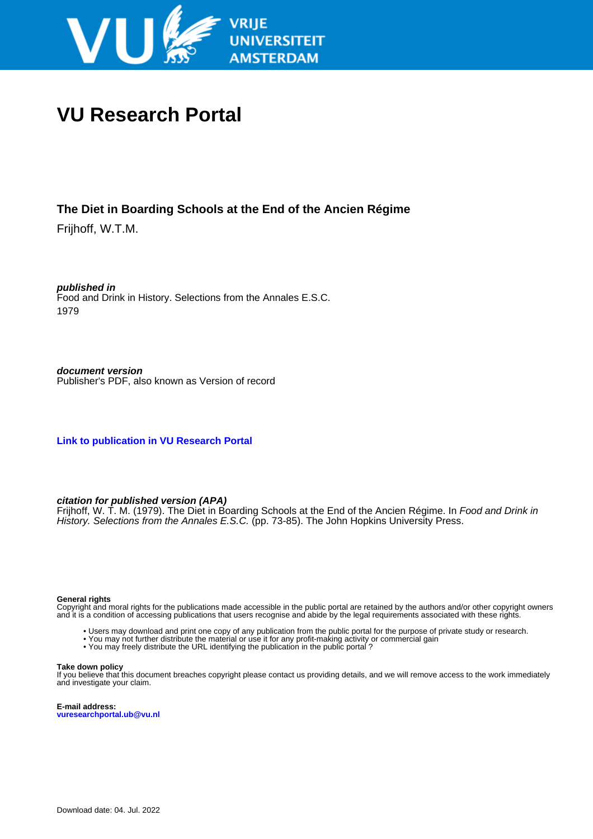

# **VU Research Portal**

## **The Diet in Boarding Schools at the End of the Ancien Régime**

Frijhoff, W.T.M.

**published in** Food and Drink in History. Selections from the Annales E.S.C. 1979

**document version** Publisher's PDF, also known as Version of record

**[Link to publication in VU Research Portal](https://research.vu.nl/en/publications/37c31cb1-bcde-4adc-add9-652baabd89bf)**

#### **citation for published version (APA)**

Frijhoff, W. T. M. (1979). The Diet in Boarding Schools at the End of the Ancien Régime. In Food and Drink in History. Selections from the Annales E.S.C. (pp. 73-85). The John Hopkins University Press.

#### **General rights**

Copyright and moral rights for the publications made accessible in the public portal are retained by the authors and/or other copyright owners and it is a condition of accessing publications that users recognise and abide by the legal requirements associated with these rights.

- Users may download and print one copy of any publication from the public portal for the purpose of private study or research.
- You may not further distribute the material or use it for any profit-making activity or commercial gain
- You may freely distribute the URL identifying the publication in the public portal ?

#### **Take down policy**

If you believe that this document breaches copyright please contact us providing details, and we will remove access to the work immediately and investigate your claim.

**E-mail address: vuresearchportal.ub@vu.nl**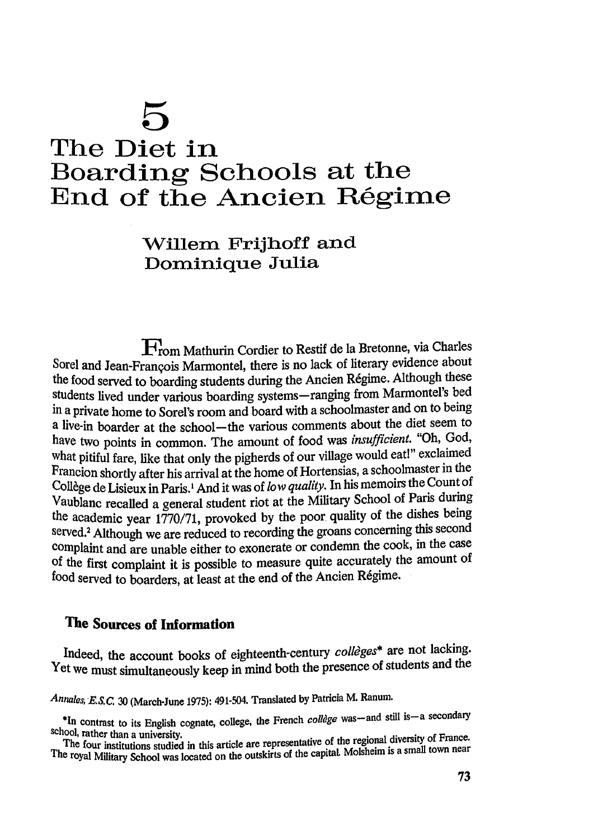# 5 The Diet in Boarding Schools at the End of the Ancien Régime

# Willem Frijhoff and Dominique Julia

From Mathurin Cordier to Restif de la Bretonne, via Charles Sorel and Jean-François Marmontel, there is no lack of literary evidence about the food served to boarding students during the Ancien Régime. Although these students lived under various boarding systems-ranging from Marmontel's bed in a private home to Sorel's room and board with a schoolmaster and on to being a live-in boarder at the school-the various comments about the diet seem to have two points in common. The amount of food was insufficient. "Oh, God, what pitiful fare, like that only the pigherds of our village would eat!" exclaimed Francion shortly after his arrival at the home of Hortensias, a schoolmaster in the Collège de Lisieux in Paris.<sup>1</sup> And it was of low quality. In his memoirs the Count of Vaublanc recalled a general student riot at the Military School of Paris during the academic year 1770/71, provoked by the poor quality of the dishes being served.<sup>2</sup> Although we are reduced to recording the groans concerning this second complaint and are unable either to exonerate or condemn the cook, in the case of the first complaint it is possible to measure quite accurately the amount of food served to boarders, at least at the end of the Ancien Régime.

# The Sources of Information

Indeed, the account books of eighteenth-century collèges\* are not lacking. Yet we must simultaneously keep in mind both the presence of students and the

Annales, E.S.C. 30 (March-June 1975): 491-504. Translated by Patricia M. Ranum.

<sup>\*</sup>In contrast to its English cognate, college, the French collège was-and still is-a secondary school, rather than a university.

The four institutions studied in this article are representative of the regional diversity of France. The royal Military School was located on the outskirts of the capital. Molsheim is a small town near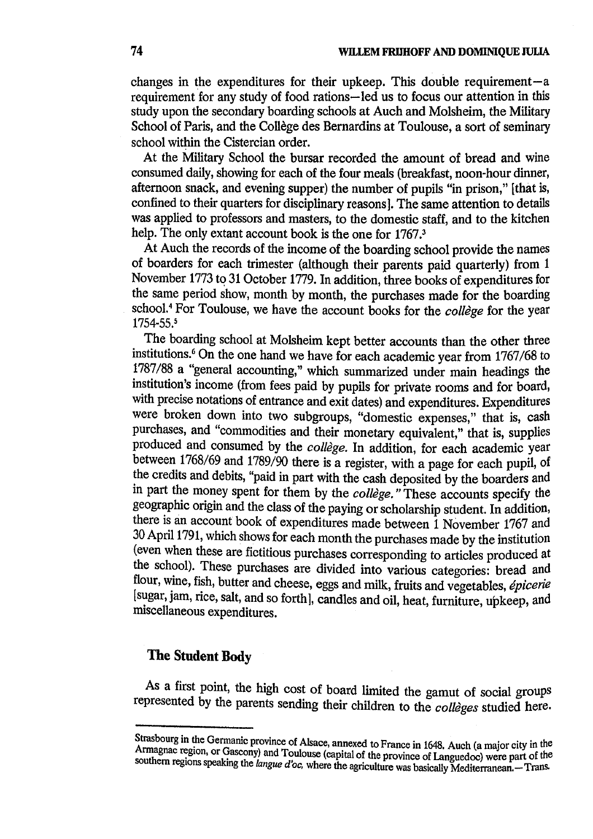changes in the expenditures for their upkeep. This double requirement  $-a$ requirement for any study of food rations—led us to focus our attention in this study upon the secondary boarding schools at Auch and Molsheim, the Military School of Paris, and the Collège des Bernardins at Toulouse, a sort of seminary school within the Cistercian order.

At the Military School the bursar recorded the amount of bread and wine consumed daily, showing for each of the four meals (breakfast, noon-hour dinner, afternoon snack, and evening supper) the number of pupils "in prison," [that is, confined to their quarters for disciplinary reasons]. The same attention to details was applied to professors and masters, to the domestic staff, and to the kitchen help. The only extant account book is the one for 1767.<sup>3</sup>

At Auch the records of the income of the boarding school provide the names of boarders for each trimester (although their parents paid quarterly) from 1 November 1773 to 31 October 1779. In addition, three books of expenditures for the same period show, month by month, the purchases made for the boarding school.<sup>4</sup> For Toulouse, we have the account books for the collège for the year 1754-55.5

The boarding school at Molsheim kept better accounts than the other three institutions.<sup>6</sup> On the one hand we have for each academic year from 1767/68 to 1787/88 a "general accounting," which summarized under main headings the institution's income (from fees paid by pupils for private rooms and for board, with precise notations of entrance and exit dates) and expenditures. Expenditures were broken down into two subgroups, "domestic expenses," that is, cash purchases, and "commodities and their monetary equivalent," that is, supplies produced and consumed by the collège. In addition, for each academic year between 1768/69 and 1789/90 there is a register, with a page for each pupil, of the credits and debits, "paid in part with the cash deposited by the boarders and in part the money spent for them by the collège." These accounts specify the geographic origin and the class of the paying or scholarship student. In addition, there is an account book of expenditures made between 1 November 1767 and 30 April 1791, which shows for each month the purchases made by the institution (even when these are fictitious purchases corresponding to articles produced at the school). These purchases are divided into various categories: bread and flour, wine, fish, butter and cheese, eggs and milk, fruits and vegetables, épicerie [sugar, jam, rice, salt, and so forth], candles and oil, heat, furniture, upkeep, and miscellaneous expenditures.

### The Student Body

As a first point, the high cost of board limited the gamut of social groups represented by the parents sending their children to the collèges studied here.

Strasbourg in the Germanic province of Alsace, annexed to France in 1648. Auch (a major city in the Armagnac region, or Gascony) and Toulouse (capital of the province of Languedoc) were part of the southern regions speaking the langue d'oc, where the agriculture was basically Mediterranean. - Trans.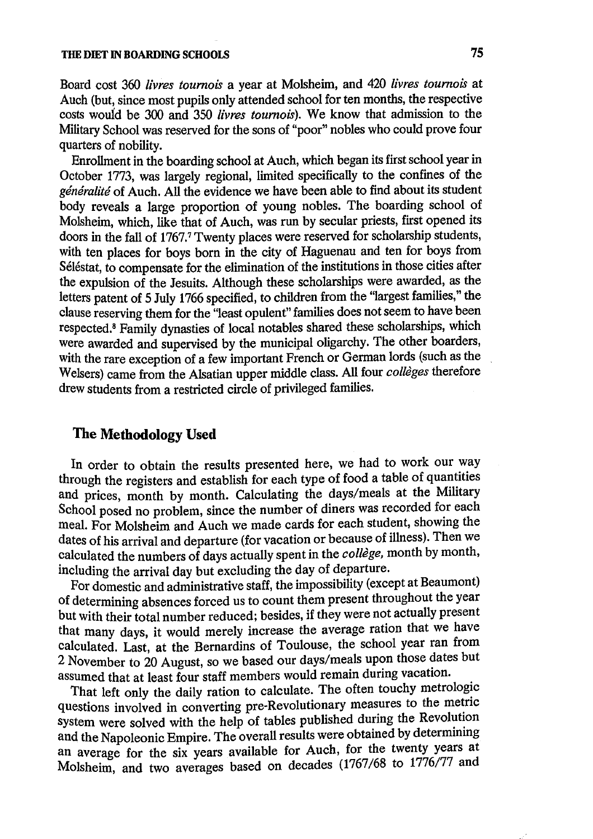#### THE DIET IN BOARDING SCHOOLS

Board cost 360 livres tournois a year at Molsheim, and 420 livres tournois at Auch (but, since most pupils only attended school for ten months, the respective costs would be 300 and 350 livres tournois). We know that admission to the Military School was reserved for the sons of "poor" nobles who could prove four quarters of nobility.

Enrollment in the boarding school at Auch, which began its first school year in October 1773, was largely regional, limited specifically to the confines of the généralité of Auch. All the evidence we have been able to find about its student body reveals a large proportion of young nobles. The boarding school of Molsheim, which, like that of Auch, was run by secular priests, first opened its doors in the fall of 1767.7 Twenty places were reserved for scholarship students, with ten places for boys born in the city of Haguenau and ten for boys from Séléstat, to compensate for the elimination of the institutions in those cities after the expulsion of the Jesuits. Although these scholarships were awarded, as the letters patent of 5 July 1766 specified, to children from the "largest families," the clause reserving them for the "least opulent" families does not seem to have been respected.<sup>8</sup> Family dynasties of local notables shared these scholarships, which were awarded and supervised by the municipal oligarchy. The other boarders, with the rare exception of a few important French or German lords (such as the Welsers) came from the Alsatian upper middle class. All four collèges therefore drew students from a restricted circle of privileged families.

### The Methodology Used

In order to obtain the results presented here, we had to work our way through the registers and establish for each type of food a table of quantities and prices, month by month. Calculating the days/meals at the Military School posed no problem, since the number of diners was recorded for each meal. For Molsheim and Auch we made cards for each student, showing the dates of his arrival and departure (for vacation or because of illness). Then we calculated the numbers of days actually spent in the college, month by month, including the arrival day but excluding the day of departure.

For domestic and administrative staff, the impossibility (except at Beaumont) of determining absences forced us to count them present throughout the year but with their total number reduced; besides, if they were not actually present that many days, it would merely increase the average ration that we have calculated. Last, at the Bernardins of Toulouse, the school year ran from 2 November to 20 August, so we based our days/meals upon those dates but assumed that at least four staff members would remain during vacation.

That left only the daily ration to calculate. The often touchy metrologic questions involved in converting pre-Revolutionary measures to the metric system were solved with the help of tables published during the Revolution and the Napoleonic Empire. The overall results were obtained by determining an average for the six years available for Auch, for the twenty years at Molsheim, and two averages based on decades (1767/68 to 1776/77 and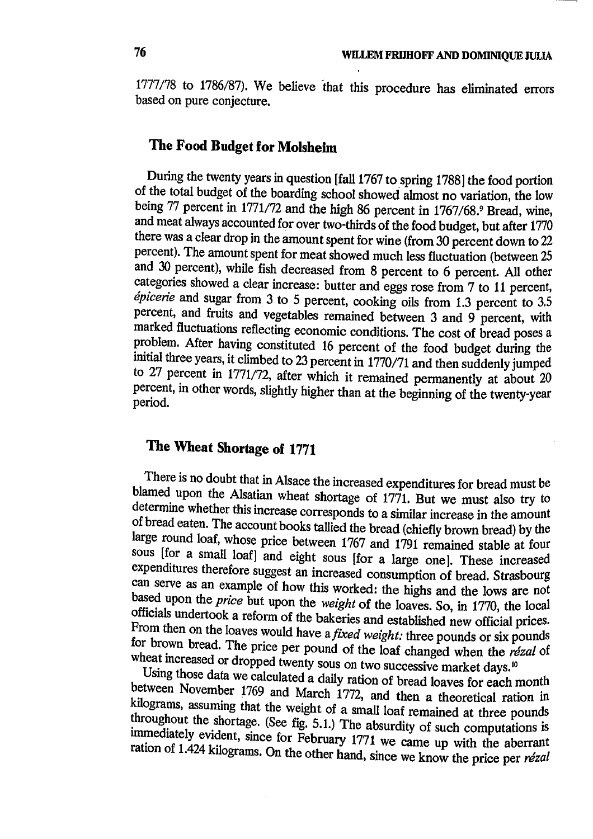1777/78 to 1786/87). We believe that this procedure has eliminated errors based on pure conjecture.

# The Food Budget for Molsheim

During the twenty years in question [fall 1767 to spring 1788] the food portion of the total budget of the boarding school showed almost no variation, the low being 77 percent in 1771/72 and the high 86 percent in 1767/68.9 Bread, wine, and meat always accounted for over two-thirds of the food budget, but after 1770 there was a clear drop in the amount spent for wine (from 30 percent down to 22 percent). The amount spent for meat showed much less fluctuation (between 25 and 30 percent), while fish decreased from 8 percent to 6 percent. All other categories showed a clear increase: butter and eggs rose from 7 to 11 percent, épicerie and sugar from 3 to 5 percent, cooking oils from 1.3 percent to  $3.5$ percent, and fruits and vegetables remained between 3 and 9 percent, with marked fluctuations reflecting economic conditions. The cost of bread poses a problem. After having constituted 16 percent of the food budget during the initial three years, it climbed to 23 percent in 1770/71 and then suddenly jumped to 27 percent in 1771/72, after which it remained permanently at about 20 percent, in other words, slightly higher than at the beginning of the twenty-year period.

# The Wheat Shortage of 1771

There is no doubt that in Alsace the increased expenditures for bread must be blamed upon the Alsatian wheat shortage of 1771. But we must also try to determine whether this increase corresponds to a similar increase in the amount of bread eaten. The account books tallied the bread (chiefly brown bread) by the large round loaf, whose price between 1767 and 1791 remained stable at four sous [for a small loaf] and eight sous [for a large one]. These increased expenditures therefore suggest an increased consumption of bread. Strasbourg can serve as an example of how this worked: the highs and the lows are not based upon the price but upon the weight of the loaves. So, in 1770, the local officials undertook a reform of the bakeries and established new official prices. From then on the loaves would have a fixed weight: three pounds or six pounds for brown bread. The price per pound of the loaf changed when the rézal of wheat increased or dropped twenty sous on two successive market days.<sup>10</sup>

Using those data we calculated a daily ration of bread loaves for each month between November 1769 and March 1772, and then a theoretical ration in kilograms, assuming that the weight of a small loaf remained at three pounds throughout the shortage. (See fig. 5.1.) The absurdity of such computations is immediately evident, since for February 1771 we came up with the aberrant ration of 1.424 kilograms. On the other hand, since we know the price per rézal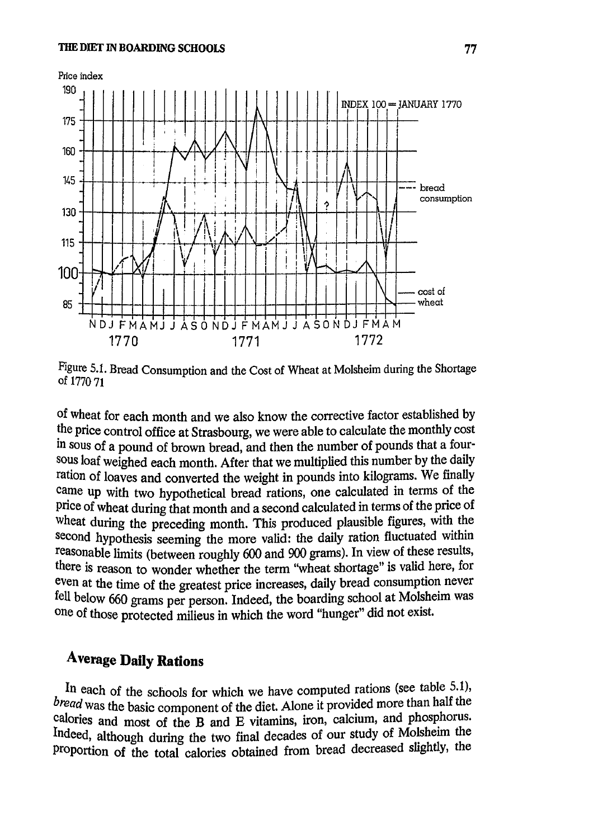

Figure 5.1. Bread Consumption and the Cost of Wheat at Molsheim during the Shortage of 1770 71

of wheat for each month and we also know the corrective factor established by the price control office at Strasbourg, we were able to calculate the monthly cost in sous of a pound of brown bread, and then the number of pounds that a foursous loaf weighed each month. After that we multiplied this number by the daily ration of loaves and converted the weight in pounds into kilograms. We finally came up with two hypothetical bread rations, one calculated in terms of the price of wheat during that month and a second calculated in terms of the price of wheat during the preceding month. This produced plausible figures, with the second hypothesis seeming the more valid: the daily ration fluctuated within reasonable limits (between roughly 600 and 900 grams). In view of these results, there is reason to wonder whether the term "wheat shortage" is valid here, for even at the time of the greatest price increases, daily bread consumption never fell below 660 grams per person. Indeed, the boarding school at Molsheim was one of those protected milieus in which the word "hunger" did not exist.

# **Average Daily Rations**

In each of the schools for which we have computed rations (see table 5.1), bread was the basic component of the diet. Alone it provided more than half the calories and most of the B and E vitamins, iron, calcium, and phosphorus. Indeed, although during the two final decades of our study of Molsheim the proportion of the total calories obtained from bread decreased slightly, the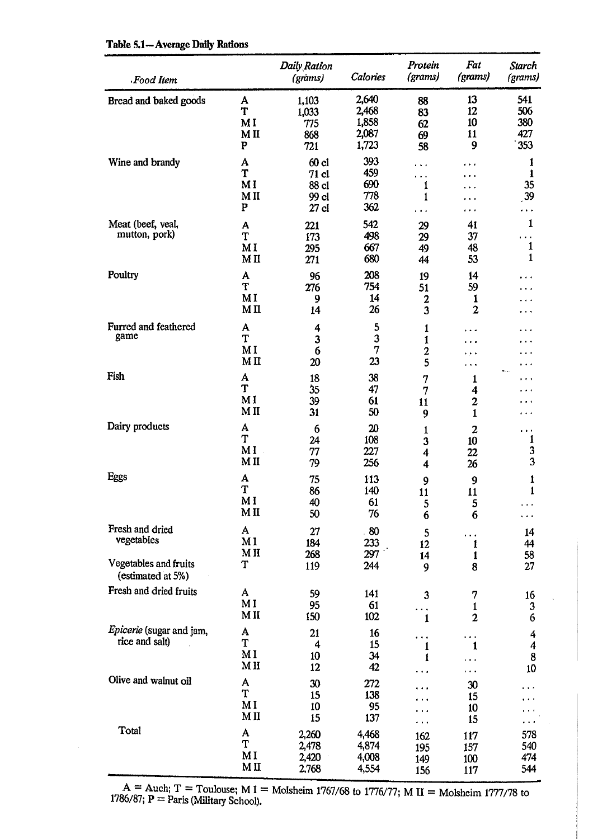|  |  | Table 5.1-Average Daily Rations |  |  |
|--|--|---------------------------------|--|--|
|--|--|---------------------------------|--|--|

| Food Item                                              |                                  | Daily Ration<br>(grams)                              | Calories                                  | Protein<br>(grams)                 | Fat<br>(grams)                         | <b>Starch</b><br>(grams)        |
|--------------------------------------------------------|----------------------------------|------------------------------------------------------|-------------------------------------------|------------------------------------|----------------------------------------|---------------------------------|
| Bread and baked goods                                  | A<br>T<br>MI<br>MII<br>${\bf P}$ | 1,103<br>1,033<br>775<br>868<br>721                  | 2,640<br>2,468<br>1,858<br>2,087<br>1,723 | 88<br>83<br>62<br>69<br>58         | 13<br>12<br>10<br>11<br>9              | 541<br>506<br>380<br>427<br>353 |
| Wine and brandy                                        | A<br>T<br>MI<br>MII<br>P         | 60 <sub>cl</sub><br>71 cl<br>88 cl<br>99 cl<br>27 cl | 393<br>459<br>690<br>778<br>362           | .<br>.<br>1<br>1<br>$\cdots$       | .<br>.                                 | 1<br>1<br>35<br>39<br>$\cdots$  |
| Meat (beef, veal,<br>mutton, pork)                     | A<br>T<br>MI<br>M <sub>H</sub>   | 221<br>173<br>295<br>271                             | 542<br>498<br>667<br>680                  | 29<br>29<br>49<br>44               | 41<br>37<br>48<br>53                   | 1<br>.<br>1<br>$\mathbf{1}$     |
| Poultry                                                | A<br>T<br>MI<br>M <sub>II</sub>  | 96<br>276<br>9<br>14                                 | 208<br>754<br>14<br>26                    | 19<br>51<br>$\mathbf{2}$<br>3      | 14<br>59<br>1<br>$\mathbf{z}$          |                                 |
| Furred and feathered<br>game                           | A<br>T<br>MI<br>MII              | 4<br>3<br>6<br>20                                    | 5<br>3<br>$\overline{7}$<br>23            | 1<br>1<br>$\mathbf{c}$<br>5        | حاجره<br>.                             | .                               |
| Fish                                                   | A<br>T<br>MI<br>M <sub>II</sub>  | 18<br>35<br>39<br>31                                 | 38<br>47<br>61<br>50                      | 7<br>7<br>11<br>9                  | 1<br>4<br>$\mathbf{2}$<br>$\mathbf{1}$ | ٠.,<br>.<br>$\cdots$            |
| Dairy products                                         | A<br>T<br>M I<br>MII             | 6<br>24<br>77<br>79                                  | 20<br>108<br>227<br>256                   | 1<br>3<br>4<br>$\overline{\bf{4}}$ | $\boldsymbol{2}$<br>10<br>22<br>26     | $\cdots$<br>1<br>3<br>3         |
| Eggs                                                   | A<br>T<br>MI<br>M <sub>II</sub>  | 75<br>86<br>40<br>50                                 | 113<br>140<br>61<br>76                    | 9<br>11<br>5<br>6                  | 9<br>11<br>5<br>6                      | 1<br>$\mathbf{1}$<br>.<br>.     |
| Fresh and dried<br>vegetables<br>Vegetables and fruits | A<br>M I<br>MII<br>T             | 27<br>184<br>268<br>119                              | .80<br>233<br>297<br>244                  | 5<br>12<br>14<br>9                 | .<br>1<br>İ<br>8                       | 14<br>44<br>58<br>27            |
| (estimated at 5%)<br>Fresh and dried fruits            | A<br>M I<br>MII                  | 59<br>95<br>150                                      | 141<br>61<br>102                          | 3<br>.<br>1                        | 7<br>$\mathbf{1}$<br>$\overline{c}$    | 16<br>3<br>6                    |
| Epicerie (sugar and jam,<br>rice and salt)             | A<br>T<br>MI<br>M <sub>H</sub>   | 21<br>4<br>10<br>12                                  | 16<br>15<br>34<br>42                      | 1<br>ı                             | $\cdots$<br>1<br>.                     | 4<br>4<br>8<br>10               |
| Olive and walnut oil                                   | A<br>T<br>MI<br>M <sub>II</sub>  | 30<br>15<br>10<br>15                                 | 272<br>138<br>95<br>137                   | $\cdots$<br>$\cdots$               | 30<br>15<br>10<br>15                   |                                 |
| Total                                                  | A<br>T<br>MI<br>M <sub>II</sub>  | 2,260<br>2,478<br>2,420<br>2.768                     | 4,468<br>4,874<br>4,008<br>4,554          | 162<br>195<br>149<br>156           | 117<br>157<br>100<br><b>117</b>        | 578<br>540<br>474<br>544        |

A = Auch; T = Toulouse; M I = Molsheim 1767/68 to 1776/77; M II = Molsheim 1777/78 to 1786/87; P = Paris (Military School).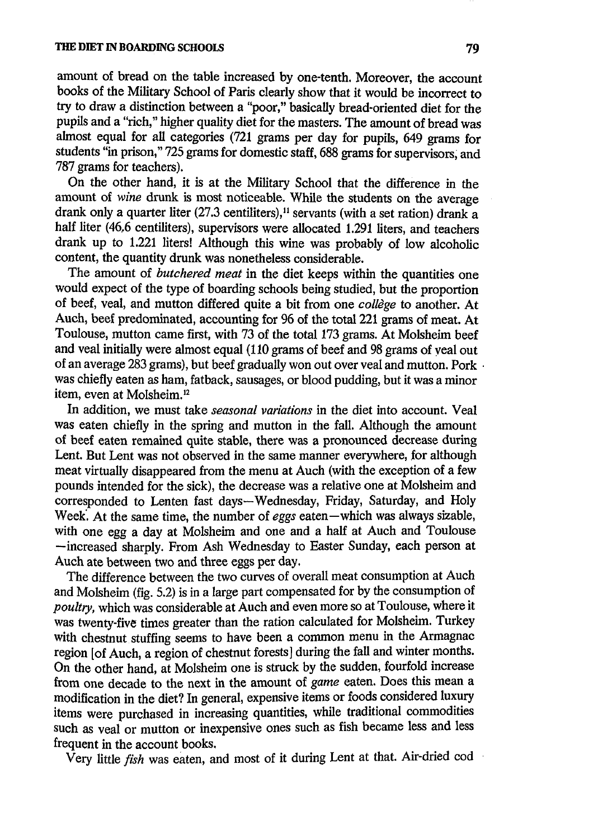amount of bread on the table increased by one-tenth. Moreover, the account books of the Military School of Paris clearly show that it would be incorrect to try to draw a distinction between a "poor," basically bread-oriented diet for the pupils and a "rich," higher quality diet for the masters. The amount of bread was almost equal for all categories (721 grams per day for pupils, 649 grams for students "in prison," 725 grams for domestic staff, 688 grams for supervisors, and 787 grams for teachers).

On the other hand, it is at the Military School that the difference in the amount of *wine* drunk is most noticeable. While the students on the average drank only a quarter liter (27.3 centiliters),<sup>11</sup> servants (with a set ration) drank a half liter (46,6 centiliters), supervisors were allocated 1.291 liters, and teachers drank up to 1.221 liters! Although this wine was probably of low alcoholic content, the quantity drunk was nonetheless considerable.

The amount of *butchered meat* in the diet keeps within the quantities one would expect of the type of boarding schools being studied, but the proportion of beef, veal, and mutton differed quite a bit from one collège to another. At Auch, beef predominated, accounting for 96 of the total 221 grams of meat. At Toulouse, mutton came first, with 73 of the total 173 grams. At Molsheim beef and veal initially were almost equal (110 grams of beef and 98 grams of veal out of an average 283 grams), but beef gradually won out over veal and mutton. Pork was chiefly eaten as ham, fatback, sausages, or blood pudding, but it was a minor item, even at Molsheim.<sup>12</sup>

In addition, we must take *seasonal variations* in the diet into account. Veal was eaten chiefly in the spring and mutton in the fall. Although the amount of beef eaten remained quite stable, there was a pronounced decrease during Lent. But Lent was not observed in the same manner everywhere, for although meat virtually disappeared from the menu at Auch (with the exception of a few pounds intended for the sick), the decrease was a relative one at Molsheim and corresponded to Lenten fast days-Wednesday, Friday, Saturday, and Holy Week. At the same time, the number of eggs eaten — which was always sizable, with one egg a day at Molsheim and one and a half at Auch and Toulouse -increased sharply. From Ash Wednesday to Easter Sunday, each person at Auch ate between two and three eggs per day.

The difference between the two curves of overall meat consumption at Auch and Molsheim (fig. 5.2) is in a large part compensated for by the consumption of poultry, which was considerable at Auch and even more so at Toulouse, where it was twenty-five times greater than the ration calculated for Molsheim. Turkey with chestnut stuffing seems to have been a common menu in the Armagnac region [of Auch, a region of chestnut forests] during the fall and winter months. On the other hand, at Molsheim one is struck by the sudden, fourfold increase from one decade to the next in the amount of game eaten. Does this mean a modification in the diet? In general, expensive items or foods considered luxury items were purchased in increasing quantities, while traditional commodities such as veal or mutton or inexpensive ones such as fish became less and less frequent in the account books.

Very little fish was eaten, and most of it during Lent at that. Air-dried cod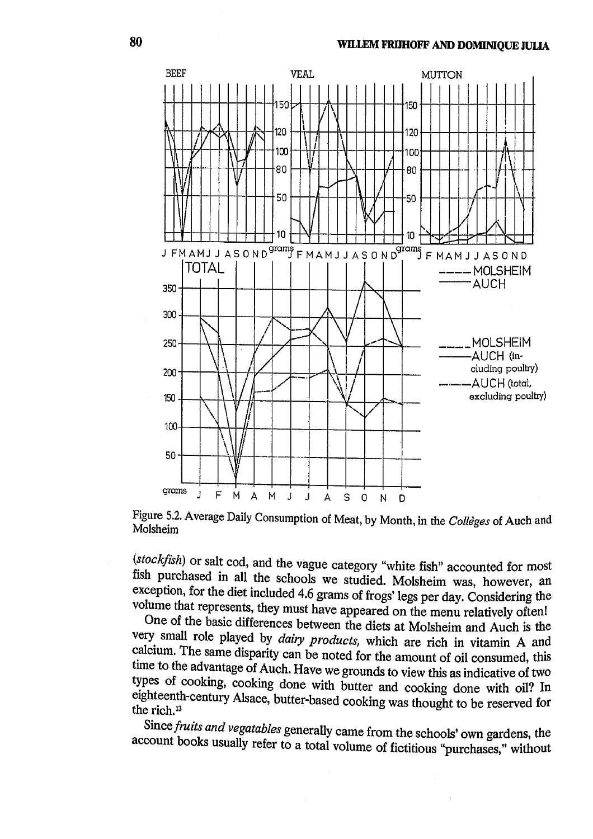

Figure 5.2. Average Daily Consumption of Meat, by Month, in the Collèges of Auch and Molsheim

(stockfish) or salt cod, and the vague category "white fish" accounted for most fish purchased in all the schools we studied. Molsheim was, however, an exception, for the diet included 4.6 grams of frogs' legs per day. Considering the volume that represents, they must have appeared on the menu relatively often!

One of the basic differences between the diets at Molsheim and Auch is the very small role played by *dairy products*, which are rich in vitamin A and calcium. The same disparity can be noted for the amount of oil consumed, this time to the advantage of Auch. Have we grounds to view this as indicative of two types of cooking, cooking done with butter and cooking done with oil? In eighteenth-century Alsace, butter-based cooking was thought to be reserved for the rich.<sup>13</sup>

Since fruits and vegatables generally came from the schools' own gardens, the account books usually refer to a total volume of fictitious "purchases," without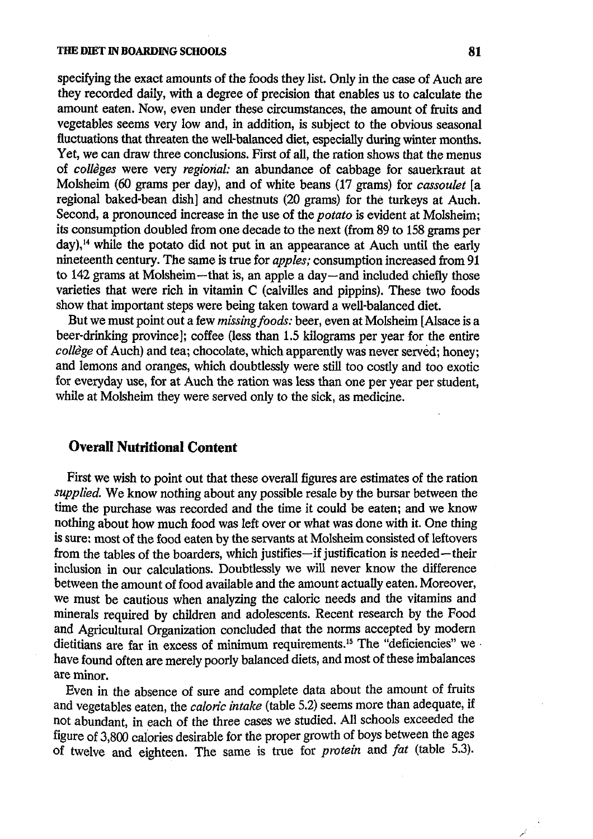specifying the exact amounts of the foods they list. Only in the case of Auch are they recorded daily, with a degree of precision that enables us to calculate the amount eaten. Now, even under these circumstances, the amount of fruits and vegetables seems very low and, in addition, is subject to the obvious seasonal fluctuations that threaten the well-balanced diet, especially during winter months. Yet, we can draw three conclusions. First of all, the ration shows that the menus of collèges were very regional: an abundance of cabbage for sauerkraut at Molsheim (60 grams per day), and of white beans (17 grams) for cassoulet [a regional baked-bean dish] and chestnuts (20 grams) for the turkeys at Auch. Second, a pronounced increase in the use of the *potato* is evident at Molsheim: its consumption doubled from one decade to the next (from 89 to 158 grams per  $\gamma$  day),<sup>14</sup> while the potato did not put in an appearance at Auch until the early nineteenth century. The same is true for *apples*; consumption increased from 91 to 142 grams at Molsheim-that is, an apple a day-and included chiefly those varieties that were rich in vitamin C (calvilles and pippins). These two foods show that important steps were being taken toward a well-balanced diet.

But we must point out a few missing foods: beer, even at Molsheim [Alsace is a beer-drinking province]; coffee (less than 1.5 kilograms per year for the entire collège of Auch) and tea; chocolate, which apparently was never served; honey; and lemons and oranges, which doubtlessly were still too costly and too exotic for everyday use, for at Auch the ration was less than one per year per student, while at Molsheim they were served only to the sick, as medicine.

# **Overall Nutritional Content**

First we wish to point out that these overall figures are estimates of the ration supplied. We know nothing about any possible resale by the bursar between the time the purchase was recorded and the time it could be eaten; and we know nothing about how much food was left over or what was done with it. One thing is sure; most of the food eaten by the servants at Molsheim consisted of leftovers from the tables of the boarders, which justifies-if justification is needed-their inclusion in our calculations. Doubtlessly we will never know the difference between the amount of food available and the amount actually eaten. Moreover, we must be cautious when analyzing the caloric needs and the vitamins and minerals required by children and adolescents. Recent research by the Food and Agricultural Organization concluded that the norms accepted by modern dietitians are far in excess of minimum requirements.<sup>15</sup> The "deficiencies" we have found often are merely poorly balanced diets, and most of these imbalances are minor.

Even in the absence of sure and complete data about the amount of fruits and vegetables eaten, the caloric intake (table 5.2) seems more than adequate, if not abundant, in each of the three cases we studied. All schools exceeded the figure of 3,800 calories desirable for the proper growth of boys between the ages of twelve and eighteen. The same is true for *protein* and *fat* (table 5.3).

كهم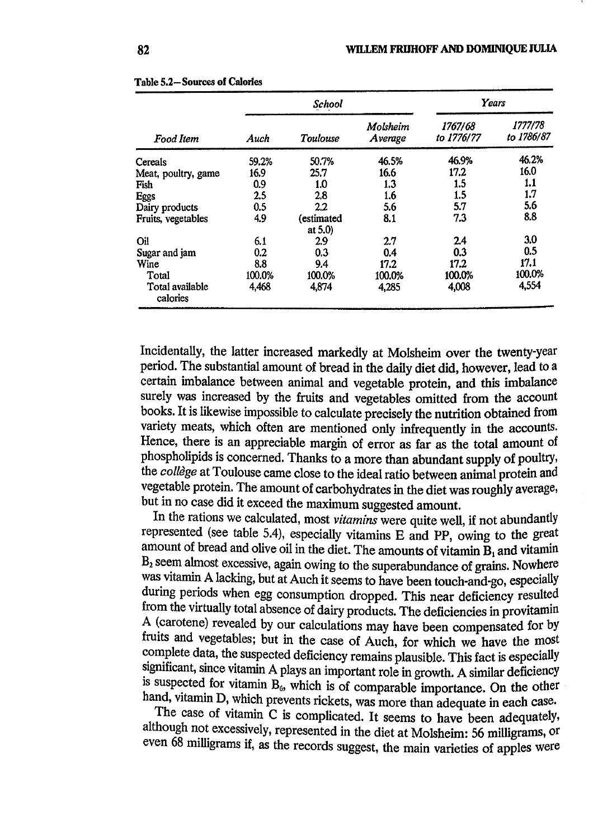|                             |        | <b>School</b>            | Years               |                       |                       |  |
|-----------------------------|--------|--------------------------|---------------------|-----------------------|-----------------------|--|
| Food Item                   | Auch   | Toulouse                 | Molsheim<br>Average | 1767/68<br>to 1776/77 | 1777/78<br>to 1786/87 |  |
| <b>Cereals</b>              | 59.2%  | 50.7%                    | 46.5%               | 46.9%                 | 46.2%                 |  |
| Meat, poultry, game         | 16.9   | 25.7                     | 16.6                | 17.2                  | 16.0                  |  |
| Fish                        | 0.9    | 1.0                      | 1.3                 | 1.5                   | 1.1                   |  |
| <b>Eggs</b>                 | 2.5    | 2.8                      | 1.6                 | 1.5                   | 1.7                   |  |
| Dairy products              | 0.5    | $2.2\,$                  | 5.6                 | 5.7                   | 5.6                   |  |
| Fruits, vegetables          | 4.9    | (estimated<br>at $5.0$ ) | 8.1                 | 7.3                   | 8.8                   |  |
| Oil                         | 6.1    | 2.9                      | 2.7                 | 2.4                   | 3.0                   |  |
| Sugar and jam               | 0.2    | 0.3                      | 0.4                 | 0.3                   | 0.5                   |  |
| Wine                        | 8.8    | 9.4                      | 17.2                | 17.2                  | 17.1                  |  |
| Total                       | 100.0% | 100.0%                   | 100.0%              | 100.0%                | 100.0%                |  |
| Total available<br>calories | 4,468  | 4,874                    | 4,285               | 4,008                 | 4,554                 |  |

|  | <b>Table 5.2-Sources of Calories</b> |  |
|--|--------------------------------------|--|
|  |                                      |  |

Incidentally, the latter increased markedly at Molsheim over the twenty-year period. The substantial amount of bread in the daily diet did, however, lead to a certain imbalance between animal and vegetable protein, and this imbalance surely was increased by the fruits and vegetables omitted from the account books. It is likewise impossible to calculate precisely the nutrition obtained from variety meats, which often are mentioned only infrequently in the accounts. Hence, there is an appreciable margin of error as far as the total amount of phospholipids is concerned. Thanks to a more than abundant supply of poultry, the collège at Toulouse came close to the ideal ratio between animal protein and vegetable protein. The amount of carbohydrates in the diet was roughly average, but in no case did it exceed the maximum suggested amount.

In the rations we calculated, most vitamins were quite well, if not abundantly represented (see table 5.4), especially vitamins E and PP, owing to the great amount of bread and olive oil in the diet. The amounts of vitamin  $\mathbf{\bar{B}}_1$  and vitamin B<sub>2</sub> seem almost excessive, again owing to the superabundance of grains. Nowhere was vitamin A lacking, but at Auch it seems to have been touch-and-go, especially during periods when egg consumption dropped. This near deficiency resulted from the virtually total absence of dairy products. The deficiencies in provitamin A (carotene) revealed by our calculations may have been compensated for by fruits and vegetables; but in the case of Auch, for which we have the most complete data, the suspected deficiency remains plausible. This fact is especially significant, since vitamin A plays an important role in growth. A similar deficiency is suspected for vitamin  $B_6$ , which is of comparable importance. On the other hand, vitamin D, which prevents rickets, was more than adequate in each case.

The case of vitamin C is complicated. It seems to have been adequately, although not excessively, represented in the diet at Molsheim: 56 milligrams, or even 68 milligrams if, as the records suggest, the main varieties of apples were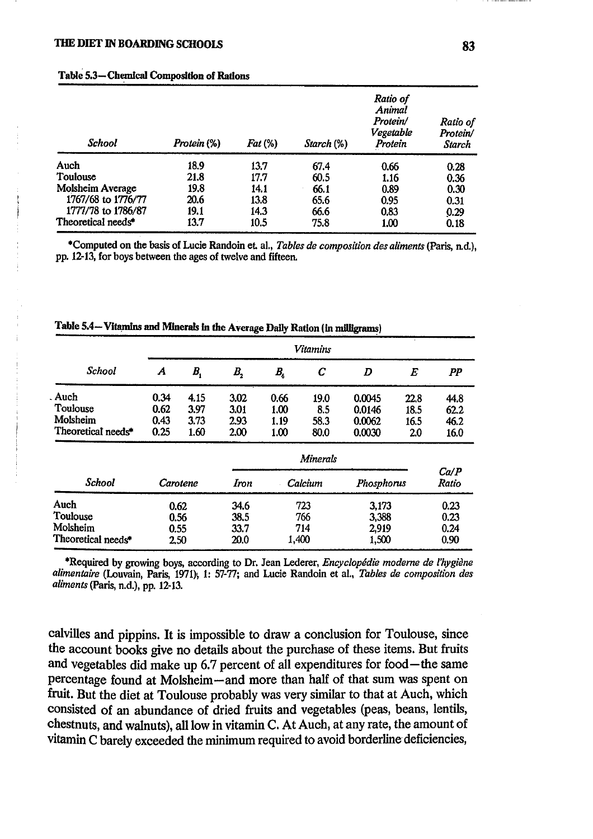| <b>School</b>                  | Protein (%) | $Fat\left(\%\right)$ | Starch (%) | Ratio of<br>Animal<br>Protein/<br>Vegetable<br>Protein | Ratio of<br>Protein/<br><b>Starch</b> |
|--------------------------------|-------------|----------------------|------------|--------------------------------------------------------|---------------------------------------|
| Auch                           | 18.9        | 13.7                 | 67.4       | 0.66                                                   | 0.28                                  |
| Toulouse                       | 21.8        | 17.7                 | 60.5       | 1.16                                                   | 0.36                                  |
| Molsheim Average               | 19.8        | 14.1                 | 66.1       | 0.89                                                   | 0.30                                  |
| 1767/68 to 1776/77             | 20.6        | 13.8                 | 65.6       | 0.95                                                   | 0.31                                  |
| 1777/78 to 1786/87             | 19.1        | 14.3                 | 66.6       | 0.83                                                   | 0.29                                  |
| Theoretical needs <sup>*</sup> | 13.7        | 10.5                 | 75.8       | 1.00                                                   | 0.18                                  |

#### Table 5.3-Chemical Composition of Rations

\*Computed on the basis of Lucie Randoin et. al., Tables de composition des aliments (Paris, n.d.), pp. 12-13, for boys between the ages of twelve and fifteen.

|                    | <b>Vitamins</b> |             |             |             |                  |            |                  |               |
|--------------------|-----------------|-------------|-------------|-------------|------------------|------------|------------------|---------------|
| School             | A               | $B_{\rm i}$ | $B_{\rm 2}$ | $B_{\rm c}$ | $\boldsymbol{C}$ | D          | $\boldsymbol{E}$ | PP            |
| . Auch             | 0.34            | 4.15        | 3.02        | 0.66        | 19.0             | 0.0045     | 22.8             | 44.8          |
| Toulouse           | 0.62            | 3.97        | 3.01        | 1.00        | 8.5              | 0.0146     | 18.5             | 62.2          |
| Molsheim           | 0.43            | 3.73        | 2.93        | 1.19        | 58.3             | 0.0062     | 16.5             | 46.2          |
| Theoretical needs* | 0.25            | 1.60        | 2.00        | 1.00        | 80.0             | 0.0030     | 2.0              | 16.0          |
|                    |                 |             |             |             | <b>Minerals</b>  |            |                  |               |
| <b>School</b>      | Carotene        |             | Iron        |             | Calcium          | Phosphorus |                  | Ca/P<br>Ratio |
| Auch               | 0.62            |             | 34.6        |             | 723              | 3,173      |                  | 0.23          |
| Toulouse           | 0.56            |             | 38.5        |             | 766              | 3,388      |                  | 0.23          |
| Molsheim           | 0.55            |             | 33.7        |             | 714              | 2,919      |                  | 0.24          |
| Theoretical needs* | 2.50            |             | 20.0        |             | 1,400            | 1,500      |                  | 0.90          |

Table 5.4— Vitamins and Minerals in the Average Daily Ration (in milligrams)

\*Required by growing boys, according to Dr. Jean Lederer, Encyclopédie moderne de l'hygiène alimentaire (Louvain, Paris, 1971), 1: 57-77; and Lucie Randoin et al., Tables de composition des aliments (Paris, n.d.), pp. 12-13.

calvilles and pippins. It is impossible to draw a conclusion for Toulouse, since the account books give no details about the purchase of these items. But fruits and vegetables did make up 6.7 percent of all expenditures for food—the same percentage found at Molsheim-and more than half of that sum was spent on fruit. But the diet at Toulouse probably was very similar to that at Auch, which consisted of an abundance of dried fruits and vegetables (peas, beans, lentils, chestnuts, and walnuts), all low in vitamin C. At Auch, at any rate, the amount of vitamin C barely exceeded the minimum required to avoid borderline deficiencies,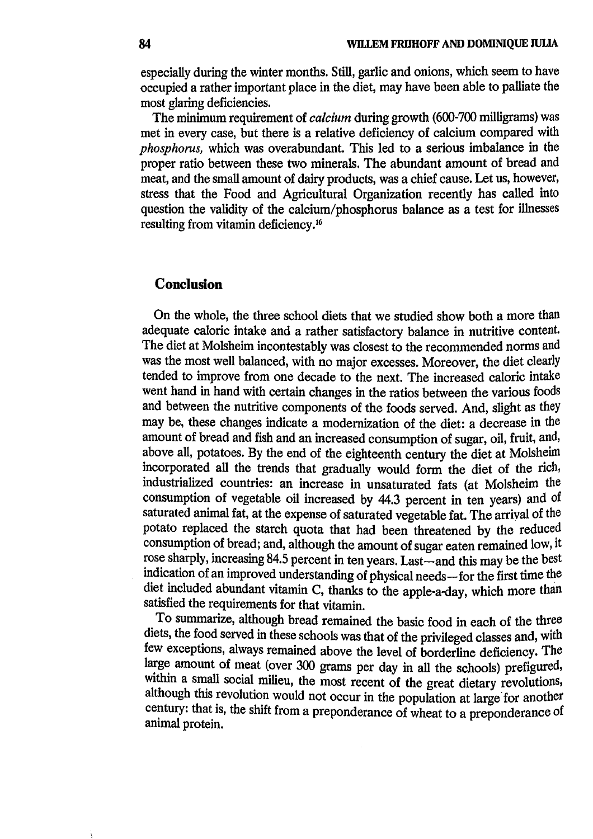especially during the winter months. Still, garlic and onions, which seem to have occupied a rather important place in the diet, may have been able to palliate the most glaring deficiencies.

The minimum requirement of *calcium* during growth (600-700 milligrams) was met in every case, but there is a relative deficiency of calcium compared with *phosphorus*, which was overabundant. This led to a serious imbalance in the proper ratio between these two minerals. The abundant amount of bread and meat, and the small amount of dairy products, was a chief cause. Let us, however, stress that the Food and Agricultural Organization recently has called into question the validity of the calcium/phosphorus balance as a test for illnesses resulting from vitamin deficiency.<sup>16</sup>

## Conclusion

On the whole, the three school diets that we studied show both a more than adequate caloric intake and a rather satisfactory balance in nutritive content. The diet at Molsheim incontestably was closest to the recommended norms and was the most well balanced, with no major excesses. Moreover, the diet clearly tended to improve from one decade to the next. The increased caloric intake went hand in hand with certain changes in the ratios between the various foods and between the nutritive components of the foods served. And, slight as they may be, these changes indicate a modernization of the diet: a decrease in the amount of bread and fish and an increased consumption of sugar, oil, fruit, and, above all, potatoes. By the end of the eighteenth century the diet at Molsheim incorporated all the trends that gradually would form the diet of the rich, industrialized countries: an increase in unsaturated fats (at Molsheim the consumption of vegetable oil increased by 44.3 percent in ten years) and of saturated animal fat, at the expense of saturated vegetable fat. The arrival of the potato replaced the starch quota that had been threatened by the reduced consumption of bread; and, although the amount of sugar eaten remained low, it rose sharply, increasing 84.5 percent in ten years. Last—and this may be the best indication of an improved understanding of physical needs-for the first time the diet included abundant vitamin C, thanks to the apple-a-day, which more than satisfied the requirements for that vitamin.

To summarize, although bread remained the basic food in each of the three diets, the food served in these schools was that of the privileged classes and, with few exceptions, always remained above the level of borderline deficiency. The large amount of meat (over 300 grams per day in all the schools) prefigured, within a small social milieu, the most recent of the great dietary revolutions, although this revolution would not occur in the population at large for another century: that is, the shift from a preponderance of wheat to a preponderance of animal protein.